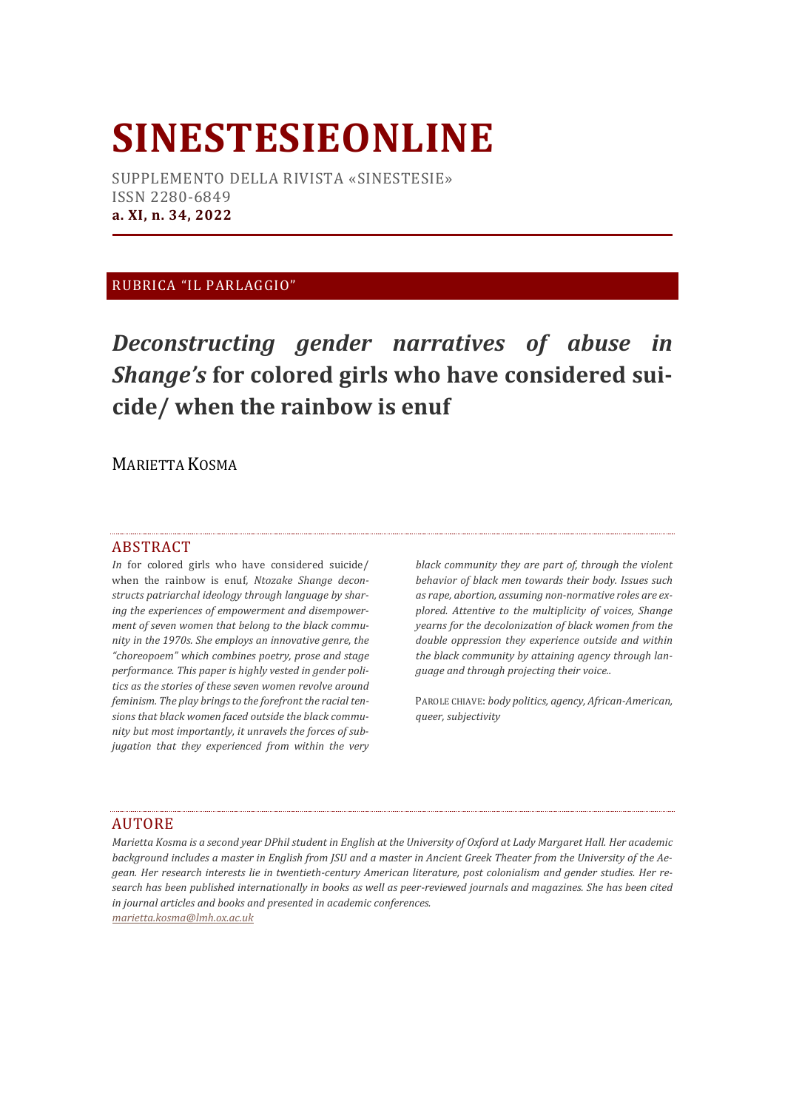# **SINESTESIEONLINE**

SUPPLEMENTO DELLA RIVISTA «SINESTESIE» ISSN 2280-6849 **a. XI, n. 34, 2022**

## RUBRICA "IL PARLAGGIO"

*Deconstructing gender narratives of abuse in Shange's* **for colored girls who have considered suicide/ when the rainbow is enuf**

MARIETTA KOSMA

#### ABSTRACT

*In* for colored girls who have considered suicide/ when the rainbow is enuf*, Ntozake Shange deconstructs patriarchal ideology through language by sharing the experiences of empowerment and disempowerment of seven women that belong to the black community in the 1970s. She employs an innovative genre, the "choreopoem" which combines poetry, prose and stage performance. This paper is highly vested in gender politics as the stories of these seven women revolve around feminism. The play brings to the forefront the racial tensions that black women faced outside the black community but most importantly, it unravels the forces of subjugation that they experienced from within the very* 

*black community they are part of, through the violent behavior of black men towards their body. Issues such as rape, abortion, assuming non-normative roles are explored. Attentive to the multiplicity of voices, Shange yearns for the decolonization of black women from the double oppression they experience outside and within the black community by attaining agency through language and through projecting their voice..* 

PAROLE CHIAVE: *body politics, agency, African-American, queer, subjectivity*

#### AUTORE

*Marietta Kosma is a second year DPhil student in English at the University of Oxford at Lady Margaret Hall. Her academic background includes a master in English from JSU and a master in Ancient Greek Theater from the University of the Aegean. Her research interests lie in twentieth-century American literature, post colonialism and gender studies. Her research has been published internationally in books as well as peer-reviewed journals and magazines. She has been cited in journal articles and books and presented in academic conferences. marietta.kosma@lmh.ox.ac.uk*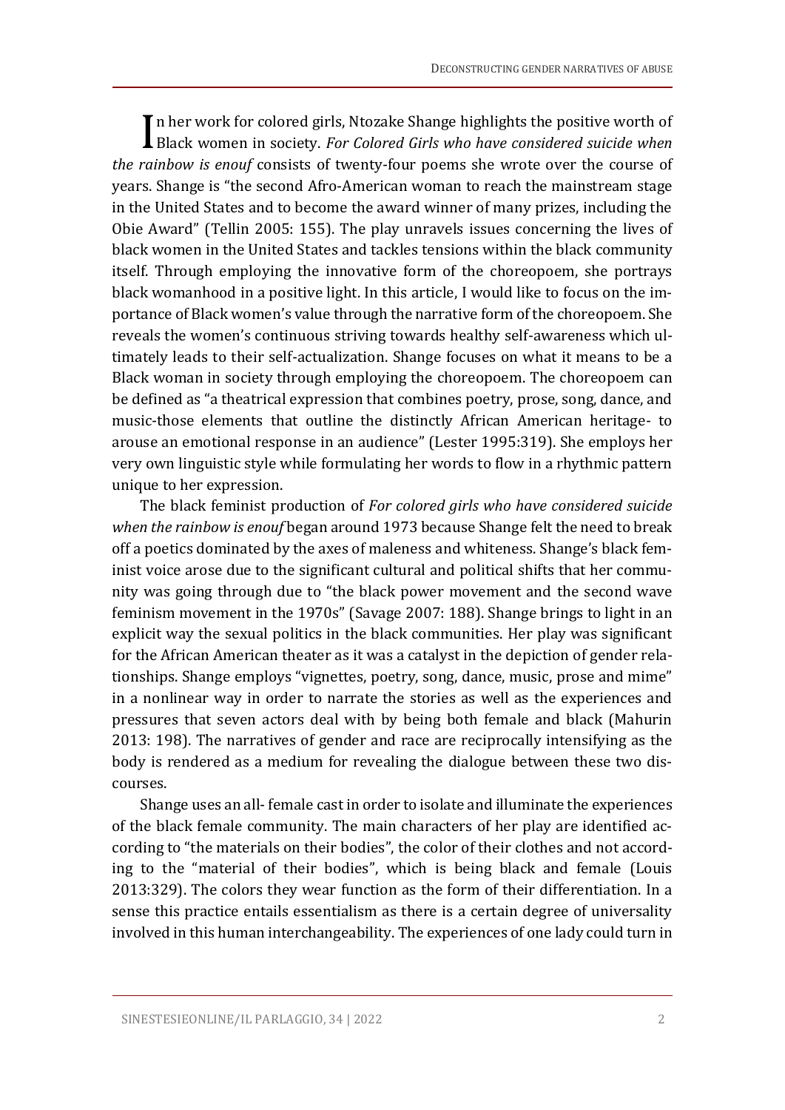In her work for colored girls, Ntozake Shange highlights the positive worth of In her work for colored girls, Ntozake Shange highlights the positive worth of Black women in society. For Colored Girls who have considered suicide when *the rainbow is enouf* consists of twenty-four poems she wrote over the course of years. Shange is "the second Afro-American woman to reach the mainstream stage in the United States and to become the award winner of many prizes, including the Obie Award" (Tellin 2005: 155). The play unravels issues concerning the lives of black women in the United States and tackles tensions within the black community itself. Through employing the innovative form of the choreopoem, she portrays black womanhood in a positive light. In this article, I would like to focus on the importance of Black women's value through the narrative form of the choreopoem. She reveals the women's continuous striving towards healthy self-awareness which ultimately leads to their self-actualization. Shange focuses on what it means to be a Black woman in society through employing the choreopoem. The choreopoem can be defined as "a theatrical expression that combines poetry, prose, song, dance, and music-those elements that outline the distinctly African American heritage- to arouse an emotional response in an audience" (Lester 1995:319). She employs her very own linguistic style while formulating her words to flow in a rhythmic pattern unique to her expression.

The black feminist production of *For colored girls who have considered suicide when the rainbow is enouf* began around 1973 because Shange felt the need to break off a poetics dominated by the axes of maleness and whiteness. Shange's black feminist voice arose due to the significant cultural and political shifts that her community was going through due to "the black power movement and the second wave feminism movement in the 1970s" (Savage 2007: 188). Shange brings to light in an explicit way the sexual politics in the black communities. Her play was significant for the African American theater as it was a catalyst in the depiction of gender relationships. Shange employs "vignettes, poetry, song, dance, music, prose and mime" in a nonlinear way in order to narrate the stories as well as the experiences and pressures that seven actors deal with by being both female and black (Mahurin 2013: 198). The narratives of gender and race are reciprocally intensifying as the body is rendered as a medium for revealing the dialogue between these two discourses.

Shange uses an all- female cast in order to isolate and illuminate the experiences of the black female community. The main characters of her play are identified according to "the materials on their bodies", the color of their clothes and not according to the "material of their bodies", which is being black and female (Louis 2013:329). The colors they wear function as the form of their differentiation. In a sense this practice entails essentialism as there is a certain degree of universality involved in this human interchangeability. The experiences of one lady could turn in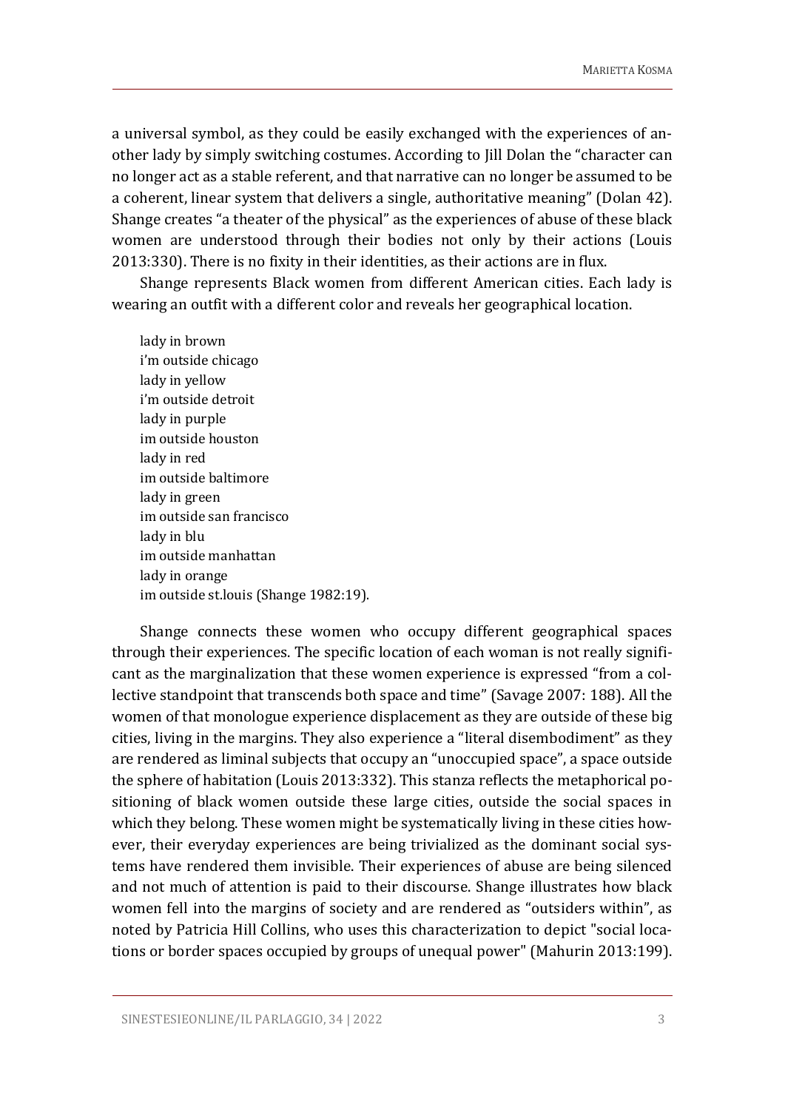a universal symbol, as they could be easily exchanged with the experiences of another lady by simply switching costumes. According to Jill Dolan the "character can no longer act as a stable referent, and that narrative can no longer be assumed to be a coherent, linear system that delivers a single, authoritative meaning" (Dolan 42). Shange creates "a theater of the physical" as the experiences of abuse of these black women are understood through their bodies not only by their actions (Louis 2013:330). There is no fixity in their identities, as their actions are in flux.

Shange represents Black women from different American cities. Each lady is wearing an outfit with a different color and reveals her geographical location.

lady in brown i'm outside chicago lady in yellow i'm outside detroit lady in purple im outside houston lady in red im outside baltimore lady in green im outside san francisco lady in blu im outside manhattan lady in orange im outside st.louis (Shange 1982:19).

Shange connects these women who occupy different geographical spaces through their experiences. The specific location of each woman is not really significant as the marginalization that these women experience is expressed "from a collective standpoint that transcends both space and time" (Savage 2007: 188). All the women of that monologue experience displacement as they are outside of these big cities, living in the margins. They also experience a "literal disembodiment" as they are rendered as liminal subjects that occupy an "unoccupied space", a space outside the sphere of habitation (Louis 2013:332). This stanza reflects the metaphorical positioning of black women outside these large cities, outside the social spaces in which they belong. These women might be systematically living in these cities however, their everyday experiences are being trivialized as the dominant social systems have rendered them invisible. Their experiences of abuse are being silenced and not much of attention is paid to their discourse. Shange illustrates how black women fell into the margins of society and are rendered as "outsiders within", as noted by Patricia Hill Collins, who uses this characterization to depict "social locations or border spaces occupied by groups of unequal power" (Mahurin 2013:199).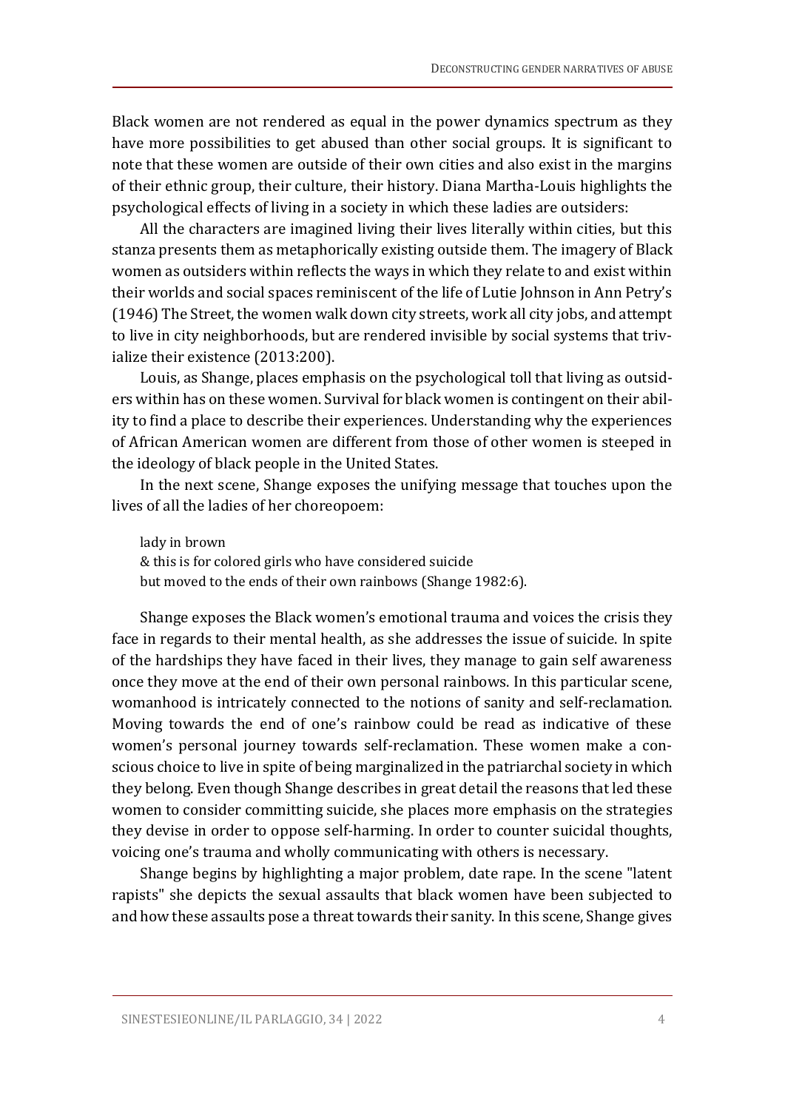Black women are not rendered as equal in the power dynamics spectrum as they have more possibilities to get abused than other social groups. It is significant to note that these women are outside of their own cities and also exist in the margins of their ethnic group, their culture, their history. Diana Martha-Louis highlights the psychological effects of living in a society in which these ladies are outsiders:

All the characters are imagined living their lives literally within cities, but this stanza presents them as metaphorically existing outside them. The imagery of Black women as outsiders within reflects the ways in which they relate to and exist within their worlds and social spaces reminiscent of the life of Lutie Johnson in Ann Petry's (1946) The Street, the women walk down city streets, work all city jobs, and attempt to live in city neighborhoods, but are rendered invisible by social systems that trivialize their existence (2013:200).

Louis, as Shange, places emphasis on the psychological toll that living as outsiders within has on these women. Survival for black women is contingent on their ability to find a place to describe their experiences. Understanding why the experiences of African American women are different from those of other women is steeped in the ideology of black people in the United States.

In the next scene, Shange exposes the unifying message that touches upon the lives of all the ladies of her choreopoem:

lady in brown & this is for colored girls who have considered suicide but moved to the ends of their own rainbows (Shange 1982:6).

Shange exposes the Black women's emotional trauma and voices the crisis they face in regards to their mental health, as she addresses the issue of suicide. In spite of the hardships they have faced in their lives, they manage to gain self awareness once they move at the end of their own personal rainbows. In this particular scene, womanhood is intricately connected to the notions of sanity and self-reclamation. Moving towards the end of one's rainbow could be read as indicative of these women's personal journey towards self-reclamation. These women make a conscious choice to live in spite of being marginalized in the patriarchal society in which they belong. Even though Shange describes in great detail the reasons that led these women to consider committing suicide, she places more emphasis on the strategies they devise in order to oppose self-harming. In order to counter suicidal thoughts, voicing one's trauma and wholly communicating with others is necessary.

Shange begins by highlighting a major problem, date rape. In the scene "latent rapists" she depicts the sexual assaults that black women have been subjected to and how these assaults pose a threat towards their sanity. In this scene, Shange gives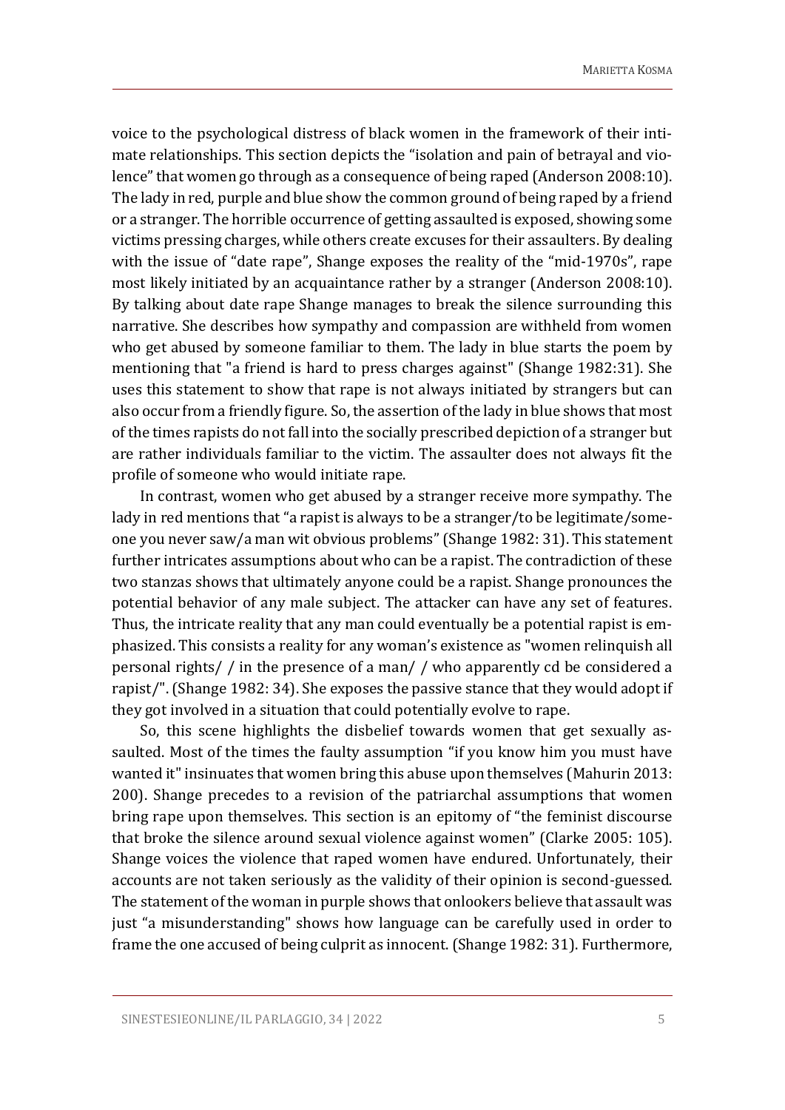voice to the psychological distress of black women in the framework of their intimate relationships. This section depicts the "isolation and pain of betrayal and violence" that women go through as a consequence of being raped (Anderson 2008:10). The lady in red, purple and blue show the common ground of being raped by a friend or a stranger. The horrible occurrence of getting assaulted is exposed, showing some victims pressing charges, while others create excuses for their assaulters. By dealing with the issue of "date rape", Shange exposes the reality of the "mid-1970s", rape most likely initiated by an acquaintance rather by a stranger (Anderson 2008:10). By talking about date rape Shange manages to break the silence surrounding this narrative. She describes how sympathy and compassion are withheld from women who get abused by someone familiar to them. The lady in blue starts the poem by mentioning that "a friend is hard to press charges against" (Shange 1982:31). She uses this statement to show that rape is not always initiated by strangers but can also occur from a friendly figure. So, the assertion of the lady in blue shows that most of the times rapists do not fall into the socially prescribed depiction of a stranger but are rather individuals familiar to the victim. The assaulter does not always fit the profile of someone who would initiate rape.

In contrast, women who get abused by a stranger receive more sympathy. The lady in red mentions that "a rapist is always to be a stranger/to be legitimate/someone you never saw/a man wit obvious problems" (Shange 1982: 31). This statement further intricates assumptions about who can be a rapist. The contradiction of these two stanzas shows that ultimately anyone could be a rapist. Shange pronounces the potential behavior of any male subject. The attacker can have any set of features. Thus, the intricate reality that any man could eventually be a potential rapist is emphasized. This consists a reality for any woman's existence as "women relinquish all personal rights/ / in the presence of a man/ / who apparently cd be considered a rapist/". (Shange 1982: 34). She exposes the passive stance that they would adopt if they got involved in a situation that could potentially evolve to rape.

So, this scene highlights the disbelief towards women that get sexually assaulted. Most of the times the faulty assumption "if you know him you must have wanted it" insinuates that women bring this abuse upon themselves (Mahurin 2013: 200). Shange precedes to a revision of the patriarchal assumptions that women bring rape upon themselves. This section is an epitomy of "the feminist discourse that broke the silence around sexual violence against women" (Clarke 2005: 105). Shange voices the violence that raped women have endured. Unfortunately, their accounts are not taken seriously as the validity of their opinion is second-guessed. The statement of the woman in purple shows that onlookers believe that assault was just "a misunderstanding" shows how language can be carefully used in order to frame the one accused of being culprit as innocent. (Shange 1982: 31). Furthermore,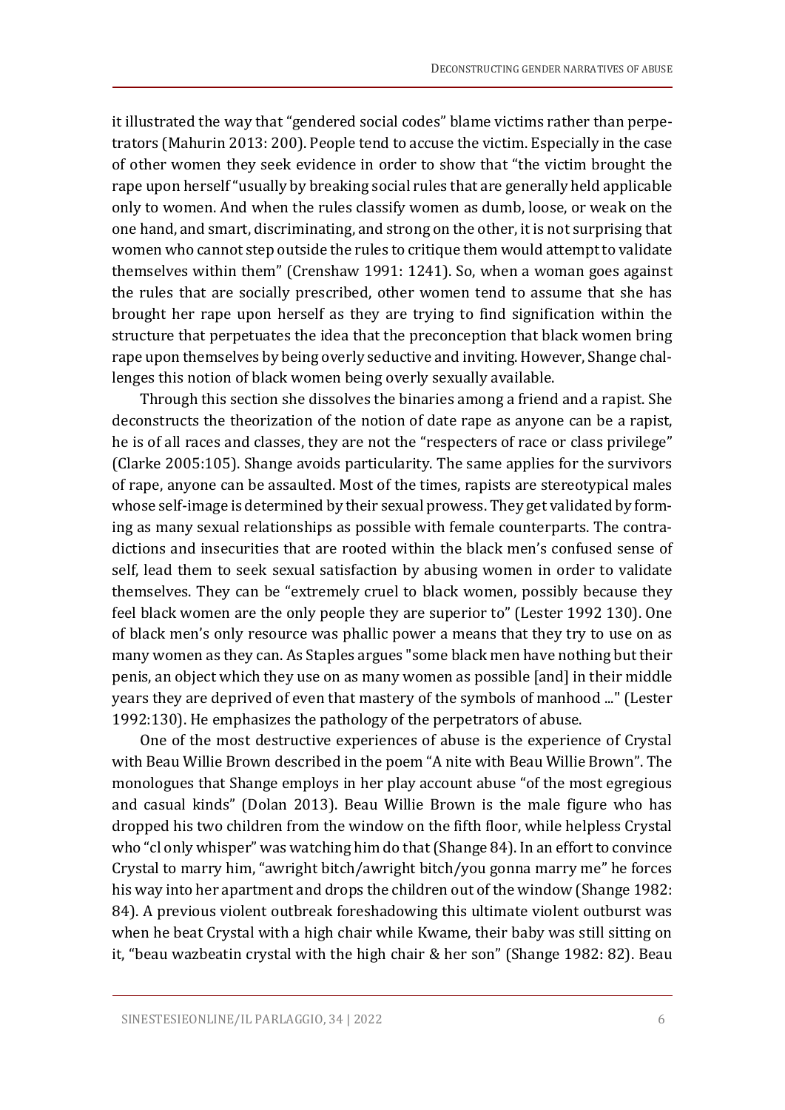it illustrated the way that "gendered social codes" blame victims rather than perpetrators (Mahurin 2013: 200). People tend to accuse the victim. Especially in the case of other women they seek evidence in order to show that "the victim brought the rape upon herself "usually by breaking social rules that are generally held applicable only to women. And when the rules classify women as dumb, loose, or weak on the one hand, and smart, discriminating, and strong on the other, it is not surprising that women who cannot step outside the rules to critique them would attempt to validate themselves within them" (Crenshaw 1991: 1241). So, when a woman goes against the rules that are socially prescribed, other women tend to assume that she has brought her rape upon herself as they are trying to find signification within the structure that perpetuates the idea that the preconception that black women bring rape upon themselves by being overly seductive and inviting. However, Shange challenges this notion of black women being overly sexually available.

Through this section she dissolves the binaries among a friend and a rapist. She deconstructs the theorization of the notion of date rape as anyone can be a rapist, he is of all races and classes, they are not the "respecters of race or class privilege" (Clarke 2005:105). Shange avoids particularity. The same applies for the survivors of rape, anyone can be assaulted. Most of the times, rapists are stereotypical males whose self-image is determined by their sexual prowess. They get validated by forming as many sexual relationships as possible with female counterparts. The contradictions and insecurities that are rooted within the black men's confused sense of self, lead them to seek sexual satisfaction by abusing women in order to validate themselves. They can be "extremely cruel to black women, possibly because they feel black women are the only people they are superior to" (Lester 1992 130). One of black men's only resource was phallic power a means that they try to use on as many women as they can. As Staples argues "some black men have nothing but their penis, an object which they use on as many women as possible [and] in their middle years they are deprived of even that mastery of the symbols of manhood ..." (Lester 1992:130). He emphasizes the pathology of the perpetrators of abuse.

One of the most destructive experiences of abuse is the experience of Crystal with Beau Willie Brown described in the poem "A nite with Beau Willie Brown". The monologues that Shange employs in her play account abuse "of the most egregious and casual kinds" (Dolan 2013). Beau Willie Brown is the male figure who has dropped his two children from the window on the fifth floor, while helpless Crystal who "cl only whisper" was watching him do that (Shange 84). In an effort to convince Crystal to marry him, "awright bitch/awright bitch/you gonna marry me" he forces his way into her apartment and drops the children out of the window (Shange 1982: 84). A previous violent outbreak foreshadowing this ultimate violent outburst was when he beat Crystal with a high chair while Kwame, their baby was still sitting on it, "beau wazbeatin crystal with the high chair & her son" (Shange 1982: 82). Beau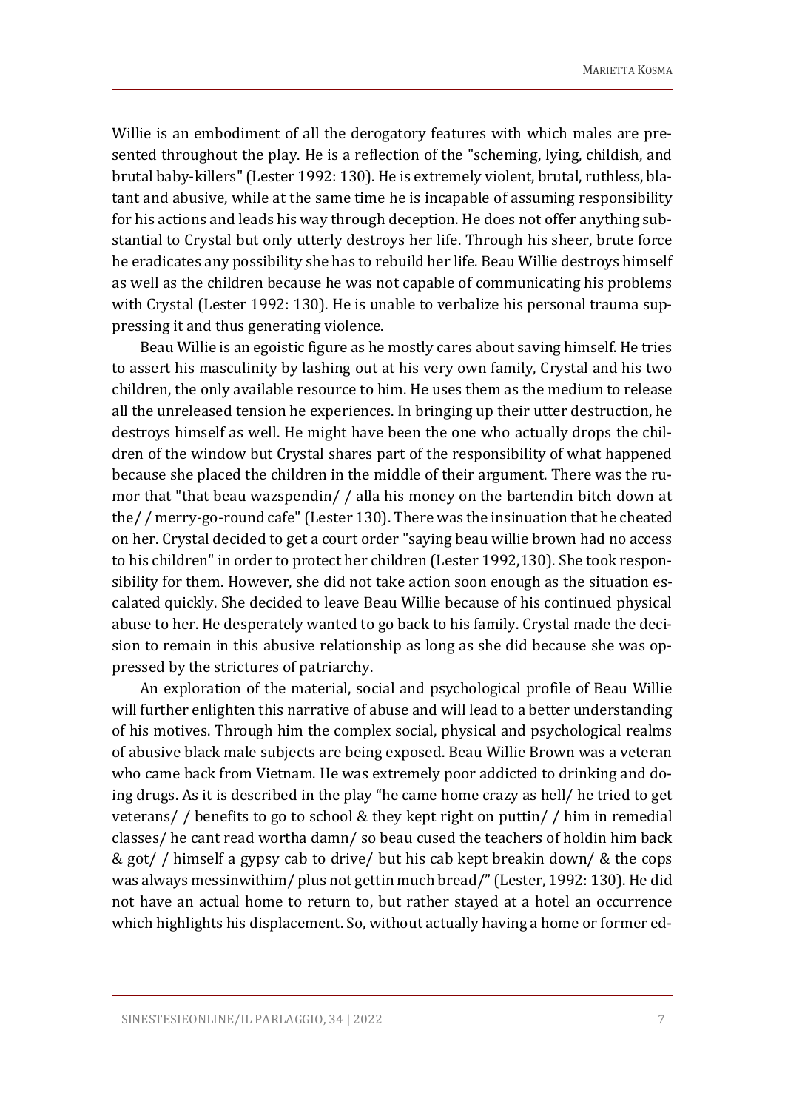Willie is an embodiment of all the derogatory features with which males are presented throughout the play. He is a reflection of the "scheming, lying, childish, and brutal baby-killers" (Lester 1992: 130). He is extremely violent, brutal, ruthless, blatant and abusive, while at the same time he is incapable of assuming responsibility for his actions and leads his way through deception. He does not offer anything substantial to Crystal but only utterly destroys her life. Through his sheer, brute force he eradicates any possibility she has to rebuild her life. Beau Willie destroys himself as well as the children because he was not capable of communicating his problems with Crystal (Lester 1992: 130). He is unable to verbalize his personal trauma suppressing it and thus generating violence.

Beau Willie is an egoistic figure as he mostly cares about saving himself. He tries to assert his masculinity by lashing out at his very own family, Crystal and his two children, the only available resource to him. He uses them as the medium to release all the unreleased tension he experiences. In bringing up their utter destruction, he destroys himself as well. He might have been the one who actually drops the children of the window but Crystal shares part of the responsibility of what happened because she placed the children in the middle of their argument. There was the rumor that "that beau wazspendin/ / alla his money on the bartendin bitch down at the/ / merry-go-round cafe" (Lester 130). There was the insinuation that he cheated on her. Crystal decided to get a court order "saying beau willie brown had no access to his children" in order to protect her children (Lester 1992,130). She took responsibility for them. However, she did not take action soon enough as the situation escalated quickly. She decided to leave Beau Willie because of his continued physical abuse to her. He desperately wanted to go back to his family. Crystal made the decision to remain in this abusive relationship as long as she did because she was oppressed by the strictures of patriarchy.

An exploration of the material, social and psychological profile of Beau Willie will further enlighten this narrative of abuse and will lead to a better understanding of his motives. Through him the complex social, physical and psychological realms of abusive black male subjects are being exposed. Beau Willie Brown was a veteran who came back from Vietnam. He was extremely poor addicted to drinking and doing drugs. As it is described in the play "he came home crazy as hell/ he tried to get veterans/ / benefits to go to school & they kept right on puttin/ / him in remedial classes/ he cant read wortha damn/ so beau cused the teachers of holdin him back & got/ / himself a gypsy cab to drive/ but his cab kept breakin down/ & the cops was always messinwithim/ plus not gettin much bread/" (Lester, 1992: 130). He did not have an actual home to return to, but rather stayed at a hotel an occurrence which highlights his displacement. So, without actually having a home or former ed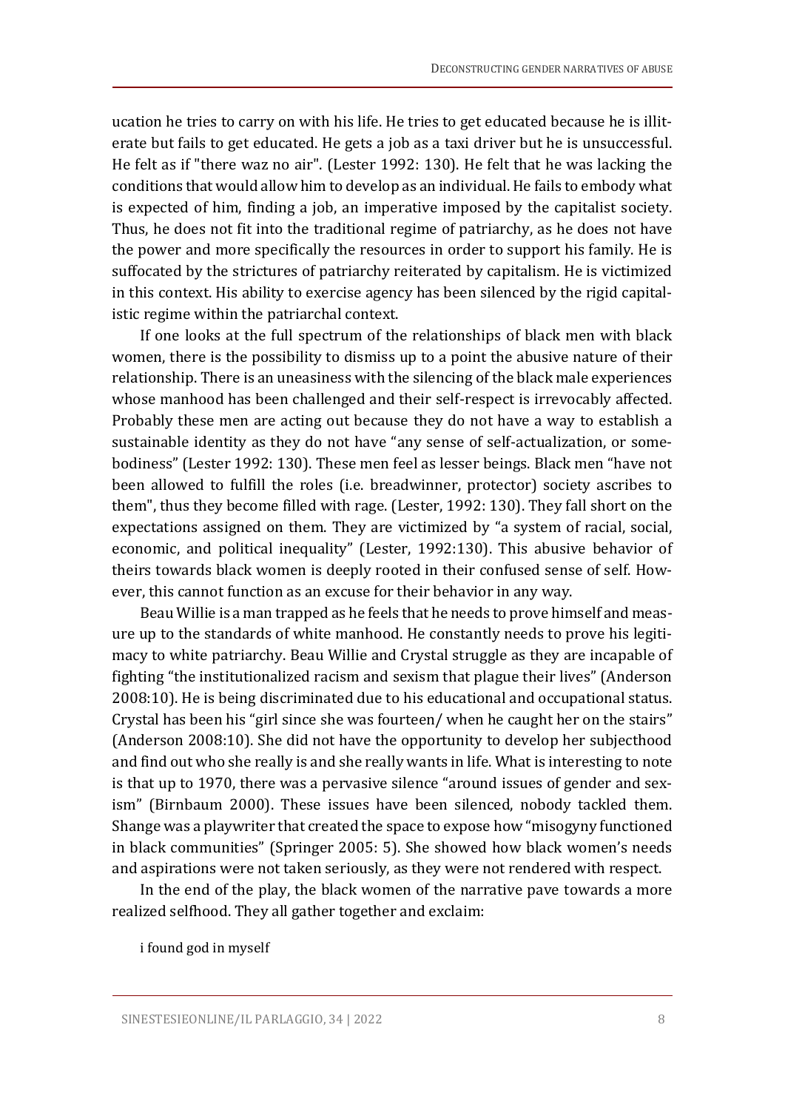ucation he tries to carry on with his life. He tries to get educated because he is illiterate but fails to get educated. He gets a job as a taxi driver but he is unsuccessful. He felt as if "there waz no air". (Lester 1992: 130). He felt that he was lacking the conditions that would allow him to develop as an individual. He fails to embody what is expected of him, finding a job, an imperative imposed by the capitalist society. Thus, he does not fit into the traditional regime of patriarchy, as he does not have the power and more specifically the resources in order to support his family. He is suffocated by the strictures of patriarchy reiterated by capitalism. He is victimized in this context. His ability to exercise agency has been silenced by the rigid capitalistic regime within the patriarchal context.

If one looks at the full spectrum of the relationships of black men with black women, there is the possibility to dismiss up to a point the abusive nature of their relationship. There is an uneasiness with the silencing of the black male experiences whose manhood has been challenged and their self-respect is irrevocably affected. Probably these men are acting out because they do not have a way to establish a sustainable identity as they do not have "any sense of self-actualization, or somebodiness" (Lester 1992: 130). These men feel as lesser beings. Black men "have not been allowed to fulfill the roles (i.e. breadwinner, protector) society ascribes to them", thus they become filled with rage. (Lester, 1992: 130). They fall short on the expectations assigned on them. They are victimized by "a system of racial, social, economic, and political inequality" (Lester, 1992:130). This abusive behavior of theirs towards black women is deeply rooted in their confused sense of self. However, this cannot function as an excuse for their behavior in any way.

Beau Willie is a man trapped as he feels that he needs to prove himself and measure up to the standards of white manhood. He constantly needs to prove his legitimacy to white patriarchy. Beau Willie and Crystal struggle as they are incapable of fighting "the institutionalized racism and sexism that plague their lives" (Anderson 2008:10). He is being discriminated due to his educational and occupational status. Crystal has been his "girl since she was fourteen/ when he caught her on the stairs" (Anderson 2008:10). She did not have the opportunity to develop her subjecthood and find out who she really is and she really wants in life. What is interesting to note is that up to 1970, there was a pervasive silence "around issues of gender and sexism" (Birnbaum 2000). These issues have been silenced, nobody tackled them. Shange was a playwriter that created the space to expose how "misogyny functioned in black communities" (Springer 2005: 5). She showed how black women's needs and aspirations were not taken seriously, as they were not rendered with respect.

In the end of the play, the black women of the narrative pave towards a more realized selfhood. They all gather together and exclaim:

i found god in myself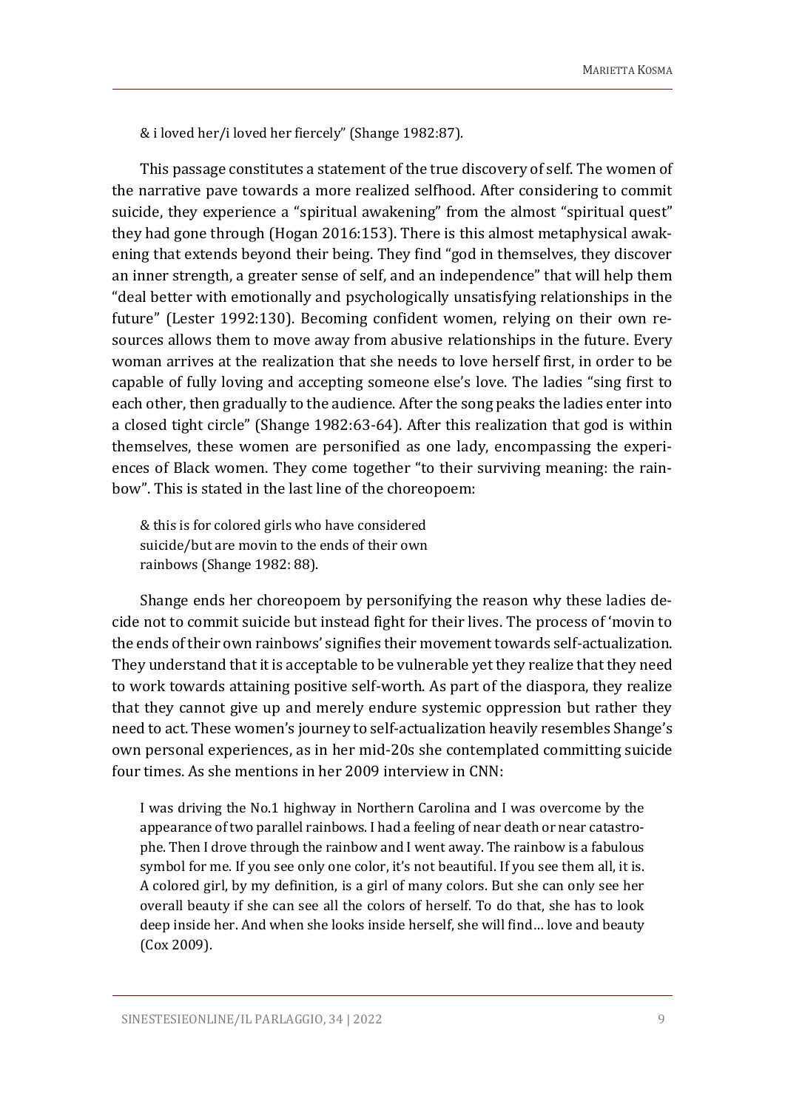& i loved her/i loved her fiercely" (Shange 1982:87).

This passage constitutes a statement of the true discovery of self. The women of the narrative pave towards a more realized selfhood. After considering to commit suicide, they experience a "spiritual awakening" from the almost "spiritual quest" they had gone through (Hogan 2016:153). There is this almost metaphysical awakening that extends beyond their being. They find "god in themselves, they discover an inner strength, a greater sense of self, and an independence" that will help them "deal better with emotionally and psychologically unsatisfying relationships in the future" (Lester 1992:130). Becoming confident women, relying on their own resources allows them to move away from abusive relationships in the future. Every woman arrives at the realization that she needs to love herself first, in order to be capable of fully loving and accepting someone else's love. The ladies "sing first to each other, then gradually to the audience. After the song peaks the ladies enter into a closed tight circle" (Shange 1982:63-64). After this realization that god is within themselves, these women are personified as one lady, encompassing the experiences of Black women. They come together "to their surviving meaning: the rainbow". This is stated in the last line of the choreopoem:

& this is for colored girls who have considered suicide/but are movin to the ends of their own rainbows (Shange 1982: 88).

Shange ends her choreopoem by personifying the reason why these ladies decide not to commit suicide but instead fight for their lives. The process of 'movin to the ends of their own rainbows' signifies their movement towards self-actualization. They understand that it is acceptable to be vulnerable yet they realize that they need to work towards attaining positive self-worth. As part of the diaspora, they realize that they cannot give up and merely endure systemic oppression but rather they need to act. These women's journey to self-actualization heavily resembles Shange's own personal experiences, as in her mid-20s she contemplated committing suicide four times. As she mentions in her 2009 interview in CNN:

I was driving the No.1 highway in Northern Carolina and I was overcome by the appearance of two parallel rainbows. I had a feeling of near death or near catastrophe. Then I drove through the rainbow and I went away. The rainbow is a fabulous symbol for me. If you see only one color, it's not beautiful. If you see them all, it is. A colored girl, by my definition, is a girl of many colors. But she can only see her overall beauty if she can see all the colors of herself. To do that, she has to look deep inside her. And when she looks inside herself, she will find… love and beauty (Cox 2009).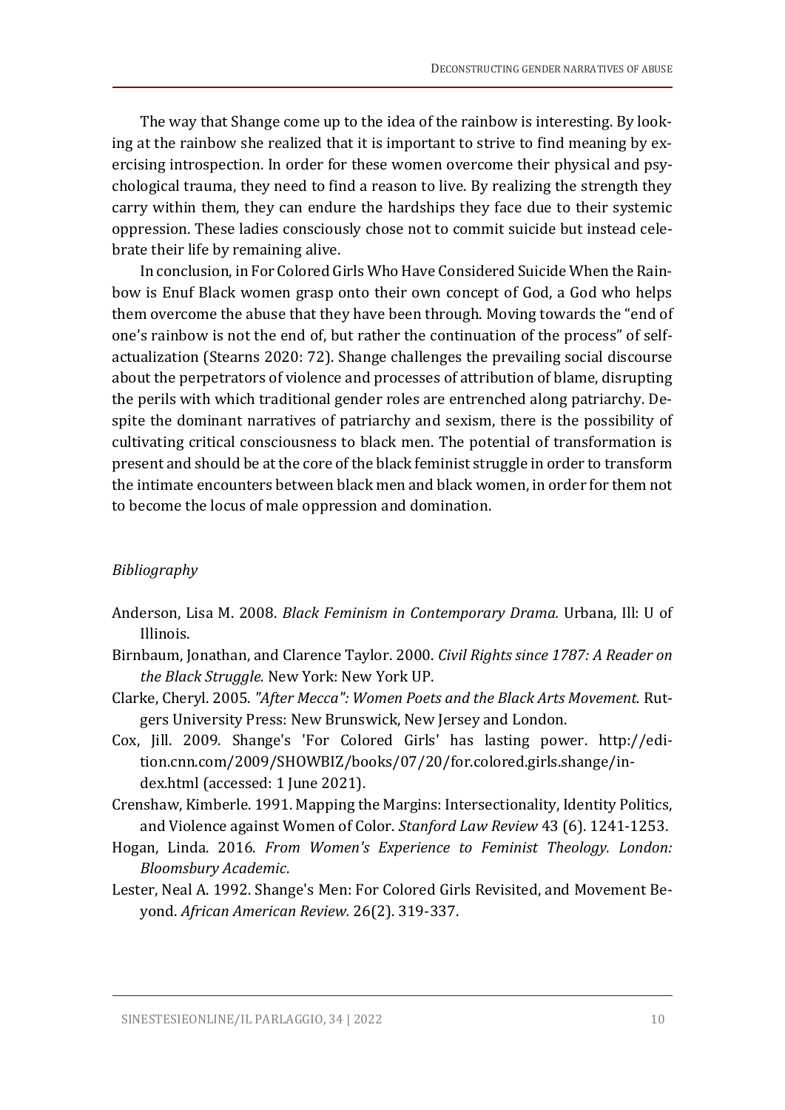The way that Shange come up to the idea of the rainbow is interesting. By looking at the rainbow she realized that it is important to strive to find meaning by exercising introspection. In order for these women overcome their physical and psychological trauma, they need to find a reason to live. By realizing the strength they carry within them, they can endure the hardships they face due to their systemic oppression. These ladies consciously chose not to commit suicide but instead celebrate their life by remaining alive.

In conclusion, in For Colored Girls Who Have Considered Suicide When the Rainbow is Enuf Black women grasp onto their own concept of God, a God who helps them overcome the abuse that they have been through. Moving towards the "end of one's rainbow is not the end of, but rather the continuation of the process" of selfactualization (Stearns 2020: 72). Shange challenges the prevailing social discourse about the perpetrators of violence and processes of attribution of blame, disrupting the perils with which traditional gender roles are entrenched along patriarchy. Despite the dominant narratives of patriarchy and sexism, there is the possibility of cultivating critical consciousness to black men. The potential of transformation is present and should be at the core of the black feminist struggle in order to transform the intimate encounters between black men and black women, in order for them not to become the locus of male oppression and domination.

### *Bibliography*

- Anderson, Lisa M. 2008. *Black Feminism in Contemporary Drama.* Urbana, Ill: U of Illinois.
- Birnbaum, Jonathan, and Clarence Taylor. 2000. *Civil Rights since 1787: A Reader on the Black Struggle.* New York: New York UP.
- Clarke, Cheryl. 2005. *"After Mecca": Women Poets and the Black Arts Movement.* Rutgers University Press: New Brunswick, New Jersey and London.
- Cox, Jill. 2009. Shange's 'For Colored Girls' has lasting power. http://edition.cnn.com/2009/SHOWBIZ/books/07/20/for.colored.girls.shange/index.html (accessed: 1 June 2021).
- Crenshaw, Kimberle. 1991. Mapping the Margins: Intersectionality, Identity Politics, and Violence against Women of Color. *Stanford Law Review* 43 (6). 1241-1253.
- Hogan, Linda. 2016. *From Women's Experience to Feminist Theology. London: Bloomsbury Academic*.
- Lester, Neal A. 1992. Shange's Men: For Colored Girls Revisited, and Movement Beyond. *African American Review.* 26(2). 319-337.